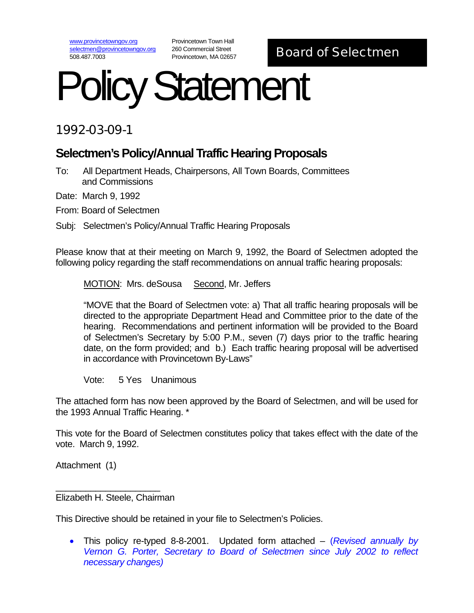www.provincetowngov.org selectmen@provincetowngov.org 508.487.7003

Provincetown Town Hall 260 Commercial Street

# 260 Commercial Street<br>Provincetown, MA 02657 **Board of Selectmen**

# Policy Statement

## 1992-03-09-1

## **Selectmen's Policy/Annual Traffic Hearing Proposals**

To: All Department Heads, Chairpersons, All Town Boards, Committees and Commissions

Date: March 9, 1992

From: Board of Selectmen

Subj: Selectmen's Policy/Annual Traffic Hearing Proposals

Please know that at their meeting on March 9, 1992, the Board of Selectmen adopted the following policy regarding the staff recommendations on annual traffic hearing proposals:

MOTION: Mrs. deSousa Second, Mr. Jeffers

"MOVE that the Board of Selectmen vote: a) That all traffic hearing proposals will be directed to the appropriate Department Head and Committee prior to the date of the hearing. Recommendations and pertinent information will be provided to the Board of Selectmen's Secretary by 5:00 P.M., seven (7) days prior to the traffic hearing date, on the form provided; and b.) Each traffic hearing proposal will be advertised in accordance with Provincetown By-Laws"

Vote: 5 Yes Unanimous

The attached form has now been approved by the Board of Selectmen, and will be used for the 1993 Annual Traffic Hearing. \*

This vote for the Board of Selectmen constitutes policy that takes effect with the date of the vote. March 9, 1992.

Attachment (1)

Elizabeth H. Steele, Chairman

 $\overline{\phantom{a}}$  , we can assume that the contract of  $\overline{\phantom{a}}$ 

This Directive should be retained in your file to Selectmen's Policies.

• This policy re-typed 8-8-2001. Updated form attached – (*Revised annually by Vernon G. Porter, Secretary to Board of Selectmen since July 2002 to reflect necessary changes)*